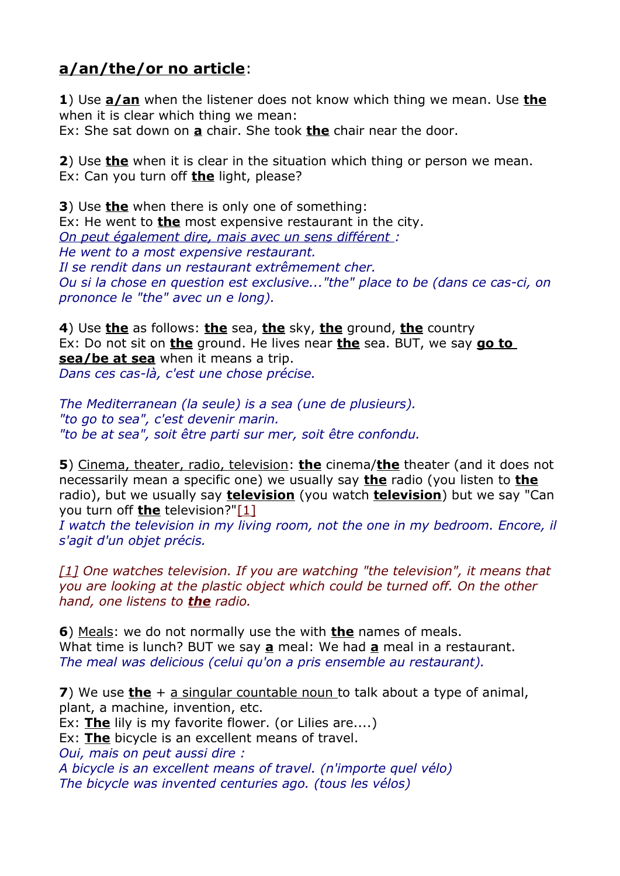## **a/an/the/or no article**:

**1**) Use **a/an** when the listener does not know which thing we mean. Use **the** when it is clear which thing we mean:

Ex: She sat down on **a** chair. She took **the** chair near the door.

**2**) Use **the** when it is clear in the situation which thing or person we mean. Ex: Can you turn off **the** light, please?

**3**) Use **the** when there is only one of something: Ex: He went to **the** most expensive restaurant in the city. *On peut également dire, mais avec un sens différent : He went to a most expensive restaurant. Il se rendit dans un restaurant extrêmement cher. Ou si la chose en question est exclusive..."the" place to be (dans ce cas-ci, on prononce le "the" avec un e long).*

**4**) Use **the** as follows: **the** sea, **the** sky, **the** ground, **the** country Ex: Do not sit on **the** ground. He lives near **the** sea. BUT, we say **go to sea/be at sea** when it means a trip. *Dans ces cas-là, c'est une chose précise.*

*The Mediterranean (la seule) is a sea (une de plusieurs). "to go to sea", c'est devenir marin. "to be at sea", soit être parti sur mer, soit être confondu.*

**5**) Cinema, theater, radio, television: **the** cinema/**the** theater (and it does not necessarily mean a specific one) we usually say **the** radio (you listen to **the** radio), but we usually say **television** (you watch **television**) but we say "Can you turn off **the** television?["\[1\]](http://forum.wordreference.com/#_ftn1)

*I watch the television in my living room, not the one in my bedroom. Encore, il s'agit d'un objet précis.*

*[\[1\]](http://forum.wordreference.com/#_ftnref1) One watches television. If you are watching "the television", it means that you are looking at the plastic object which could be turned off. On the other hand, one listens to the radio.* 

**6**) Meals: we do not normally use the with **the** names of meals. What time is lunch? BUT we say **a** meal: We had **a** meal in a restaurant. *The meal was delicious (celui qu'on a pris ensemble au restaurant).*

**7**) We use **the** + a singular countable noun to talk about a type of animal, plant, a machine, invention, etc.

Ex: **The** lily is my favorite flower. (or Lilies are....)

Ex: **The** bicycle is an excellent means of travel.

*Oui, mais on peut aussi dire :*

*A bicycle is an excellent means of travel. (n'importe quel vélo) The bicycle was invented centuries ago. (tous les vélos)*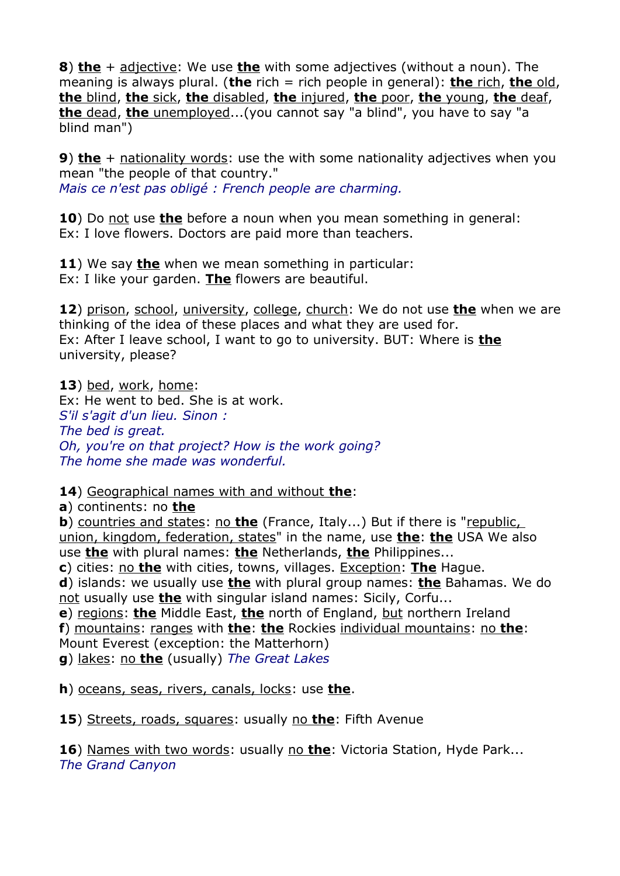**8**) **the** + adjective: We use **the** with some adjectives (without a noun). The meaning is always plural. (**the** rich = rich people in general): **the** rich, **the** old, **the** blind, **the** sick, **the** disabled, **the** injured, **the** poor, **the** young, **the** deaf, **the** dead, **the** unemployed...(you cannot say "a blind", you have to say "a blind man")

**9) the** + nationality words: use the with some nationality adjectives when you mean "the people of that country." *Mais ce n'est pas obligé : French people are charming.*

**10**) Do not use **the** before a noun when you mean something in general: Ex: I love flowers. Doctors are paid more than teachers.

**11**) We say **the** when we mean something in particular: Ex: I like your garden. **The** flowers are beautiful.

**12**) prison, school, university, college, church: We do not use **the** when we are thinking of the idea of these places and what they are used for. Ex: After I leave school, I want to go to university. BUT: Where is **the** university, please?

**13**) bed, work, home: Ex: He went to bed. She is at work. *S'il s'agit d'un lieu. Sinon : The bed is great. Oh, you're on that project? How is the work going? The home she made was wonderful.*

**14**) Geographical names with and without **the**:

**a**) continents: no **the**

**b**) countries and states: no **the** (France, Italy...) But if there is "republic, union, kingdom, federation, states" in the name, use **the**: **the** USA We also use **the** with plural names: **the** Netherlands, **the** Philippines...

**c**) cities: no **the** with cities, towns, villages. Exception: **The** Hague.

**d**) islands: we usually use **the** with plural group names: **the** Bahamas. We do not usually use **the** with singular island names: Sicily, Corfu...

**e**) regions: **the** Middle East, **the** north of England, but northern Ireland **f**) mountains: ranges with **the**: **the** Rockies individual mountains: no **the**: Mount Everest (exception: the Matterhorn)

**g**) lakes: no **the** (usually) *The Great Lakes*

**h**) oceans, seas, rivers, canals, locks: use **the**.

**15**) Streets, roads, squares: usually no **the**: Fifth Avenue

**16**) Names with two words: usually no **the**: Victoria Station, Hyde Park... *The Grand Canyon*